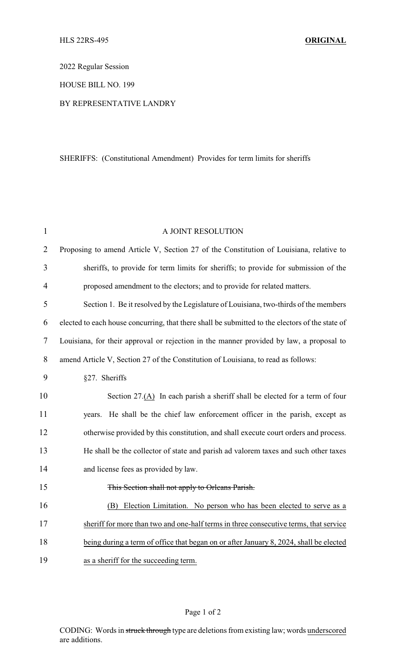2022 Regular Session

HOUSE BILL NO. 199

## BY REPRESENTATIVE LANDRY

## SHERIFFS: (Constitutional Amendment) Provides for term limits for sheriffs

| $\mathbf{1}$   | A JOINT RESOLUTION                                                                              |
|----------------|-------------------------------------------------------------------------------------------------|
| $\overline{2}$ | Proposing to amend Article V, Section 27 of the Constitution of Louisiana, relative to          |
| 3              | sheriffs, to provide for term limits for sheriffs; to provide for submission of the             |
| $\overline{4}$ | proposed amendment to the electors; and to provide for related matters.                         |
| 5              | Section 1. Be it resolved by the Legislature of Louisiana, two-thirds of the members            |
| 6              | elected to each house concurring, that there shall be submitted to the electors of the state of |
| 7              | Louisiana, for their approval or rejection in the manner provided by law, a proposal to         |
| 8              | amend Article V, Section 27 of the Constitution of Louisiana, to read as follows:               |
| 9              | §27. Sheriffs                                                                                   |
| 10             | Section 27.(A) In each parish a sheriff shall be elected for a term of four                     |
| 11             | He shall be the chief law enforcement officer in the parish, except as<br>years.                |
| 12             | otherwise provided by this constitution, and shall execute court orders and process.            |
| 13             | He shall be the collector of state and parish ad valorem taxes and such other taxes             |
| 14             | and license fees as provided by law.                                                            |
| 15             | This Section shall not apply to Orleans Parish.                                                 |
| 16             | Election Limitation. No person who has been elected to serve as a<br>(B)                        |
| 17             | sheriff for more than two and one-half terms in three consecutive terms, that service           |
| 18             | being during a term of office that began on or after January 8, 2024, shall be elected          |
| 19             | as a sheriff for the succeeding term.                                                           |